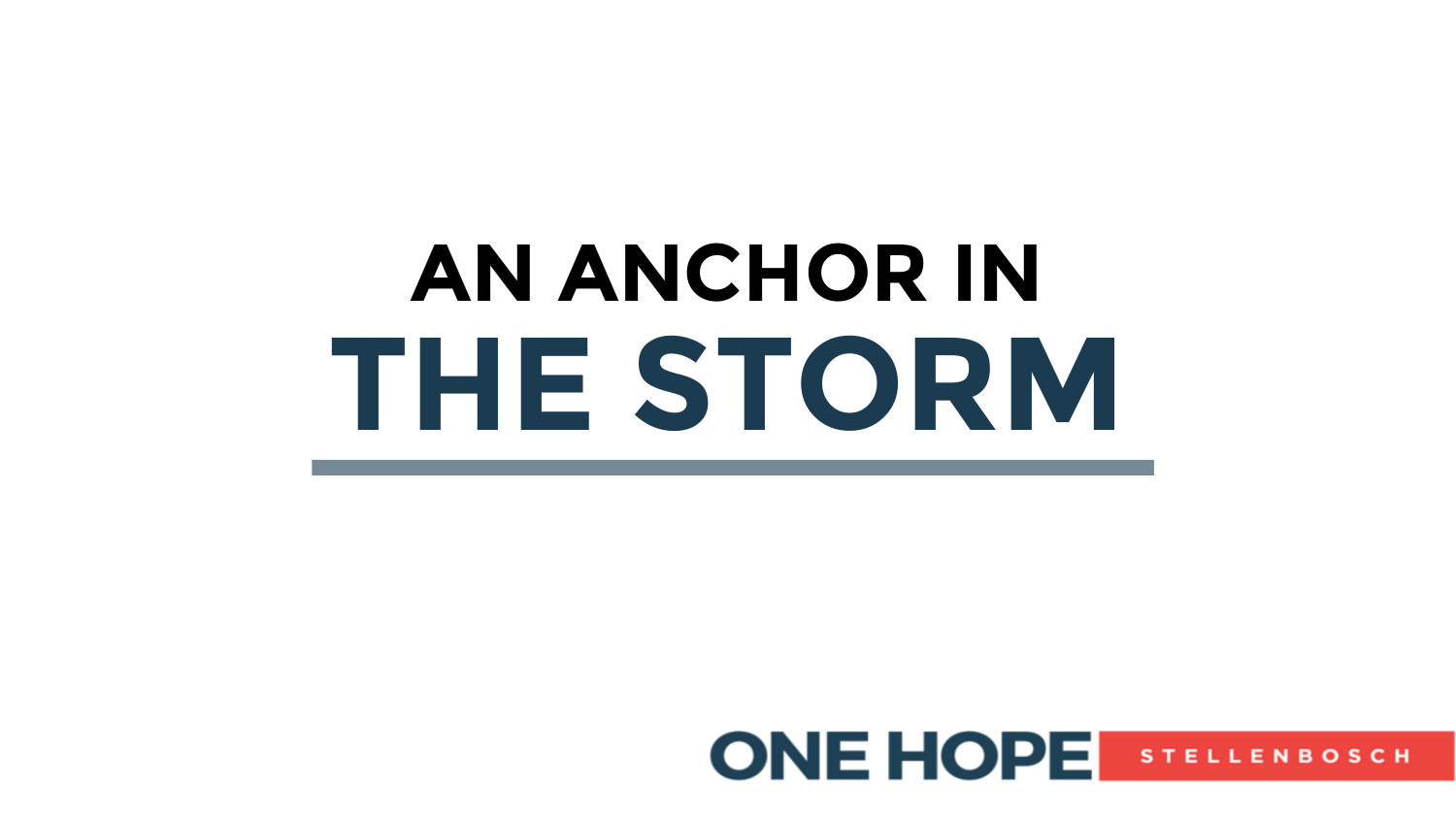# **THE STORM AN ANCHOR IN**

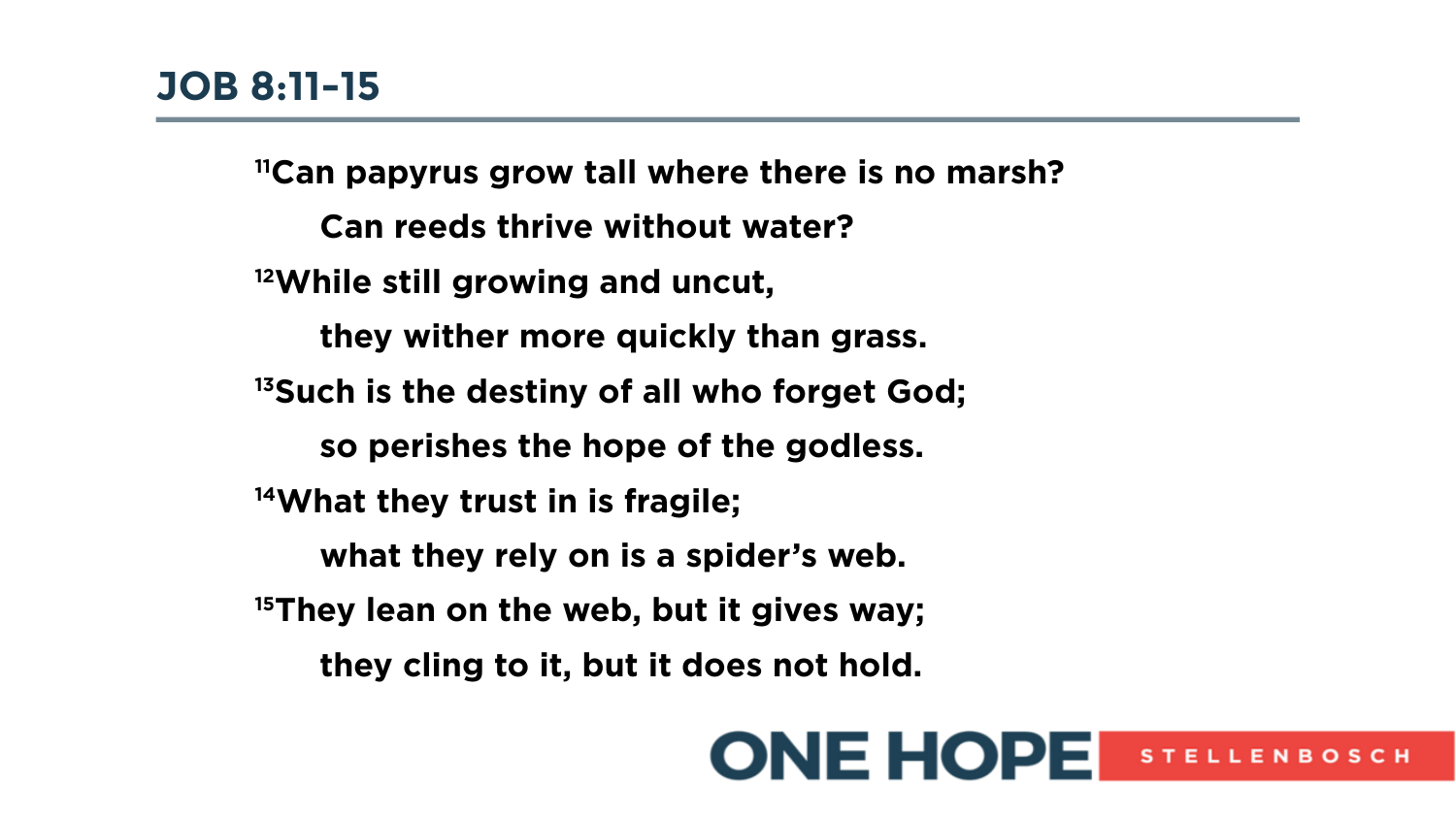**<sup>11</sup>Can papyrus grow tall where there is no marsh? Can reeds thrive without water? <sup>12</sup>While still growing and uncut, they wither more quickly than grass. <sup>13</sup>Such is the destiny of all who forget God; so perishes the hope of the godless. <sup>14</sup>What they trust in is fragile; what they rely on is a spider's web. <sup>15</sup>They lean on the web, but it gives way; they cling to it, but it does not hold.**

#### **ONE HOPE STELLENBOSCH**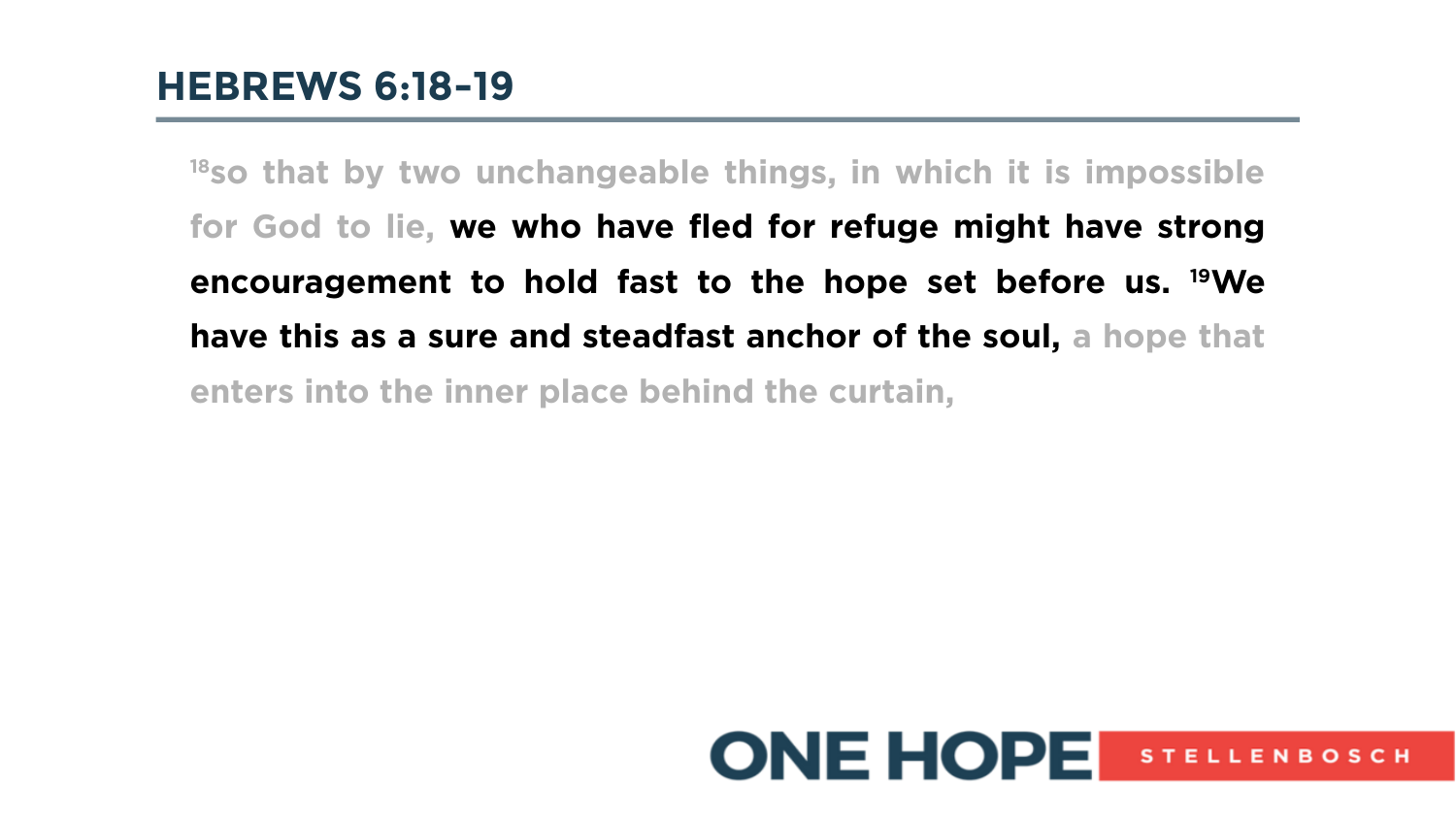**<sup>18</sup>so that by two unchangeable things, in which it is impossible for God to lie, we who have fled for refuge might have strong encouragement to hold fast to the hope set before us. 19We have this as a sure and steadfast anchor of the soul, a hope that enters into the inner place behind the curtain,**

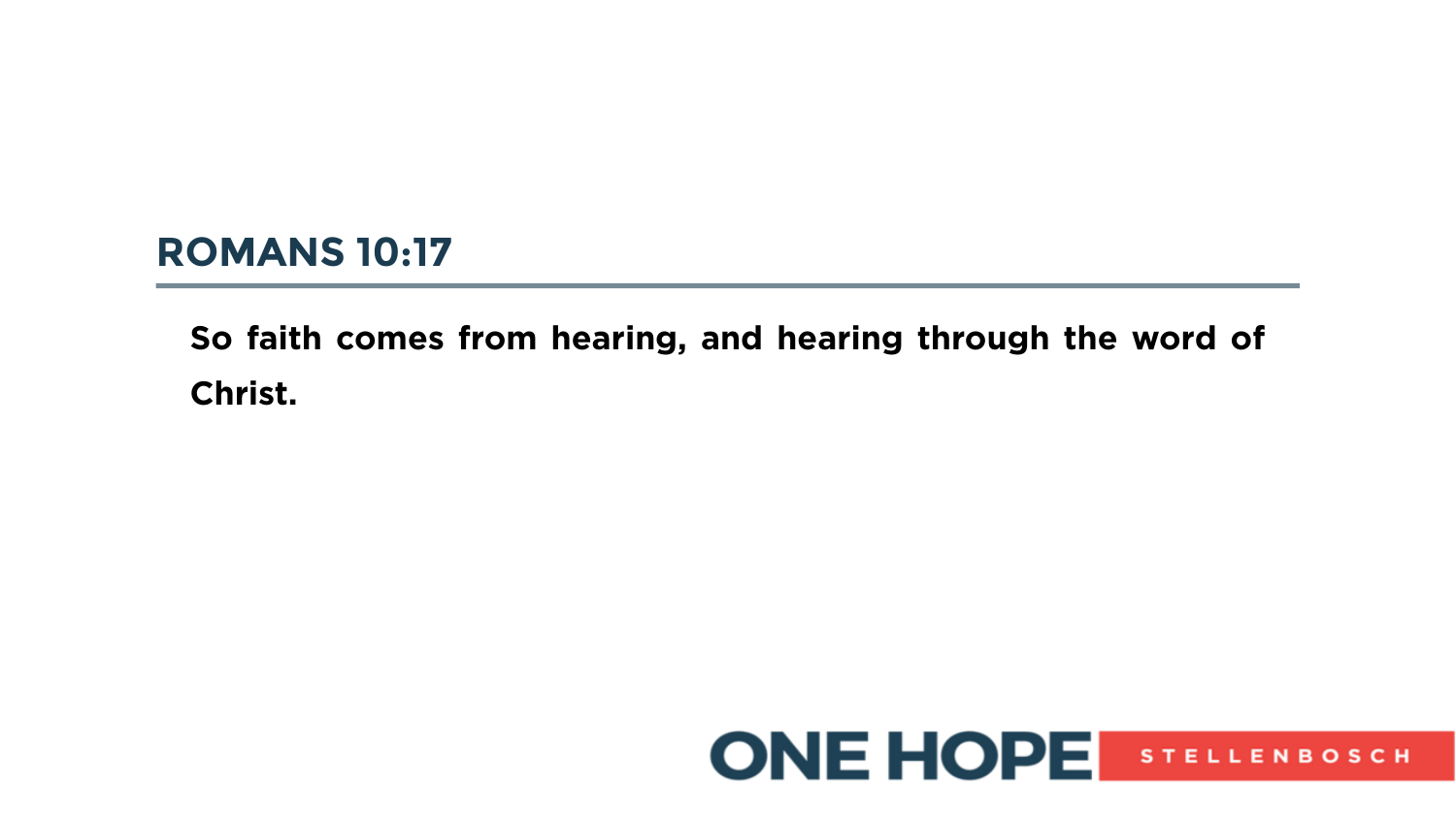### **ROMANS 10:17**

## **So faith comes from hearing, and hearing through the word of Christ.**